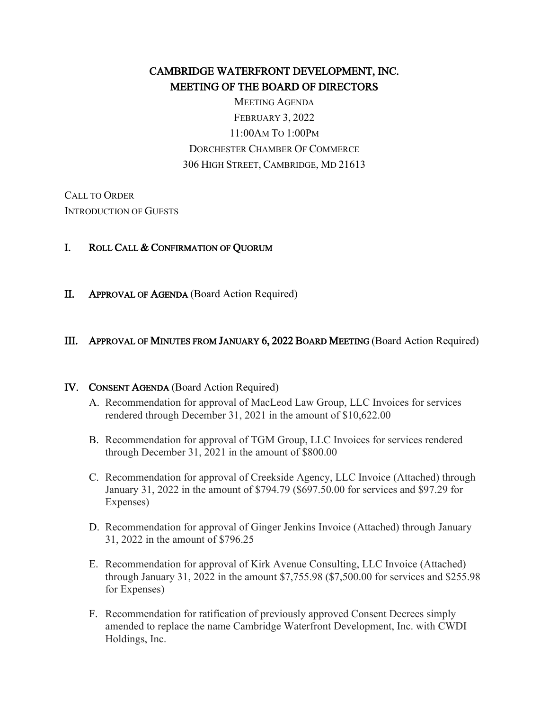# CAMBRIDGE WATERFRONT DEVELOPMENT, INC. MEETING OF THE BOARD OF DIRECTORS

MEETING AGENDA FEBRUARY 3, 2022 11:00AM TO 1:00PM DORCHESTER CHAMBER OF COMMERCE 306 HIGH STREET, CAMBRIDGE, MD 21613

CALL TO ORDER INTRODUCTION OF GUESTS

### I. ROLL CALL & CONFIRMATION OF QUORUM

II. APPROVAL OF AGENDA (Board Action Required)

### III. APPROVAL OF MINUTES FROM JANUARY 6, 2022 BOARD MEETING (Board Action Required)

#### IV. CONSENT AGENDA (Board Action Required)

- A. Recommendation for approval of MacLeod Law Group, LLC Invoices for services rendered through December 31, 2021 in the amount of \$10,622.00
- B. Recommendation for approval of TGM Group, LLC Invoices for services rendered through December 31, 2021 in the amount of \$800.00
- C. Recommendation for approval of Creekside Agency, LLC Invoice (Attached) through January 31, 2022 in the amount of \$794.79 (\$697.50.00 for services and \$97.29 for Expenses)
- D. Recommendation for approval of Ginger Jenkins Invoice (Attached) through January 31, 2022 in the amount of \$796.25
- E. Recommendation for approval of Kirk Avenue Consulting, LLC Invoice (Attached) through January 31, 2022 in the amount \$7,755.98 (\$7,500.00 for services and \$255.98 for Expenses)
- F. Recommendation for ratification of previously approved Consent Decrees simply amended to replace the name Cambridge Waterfront Development, Inc. with CWDI Holdings, Inc.